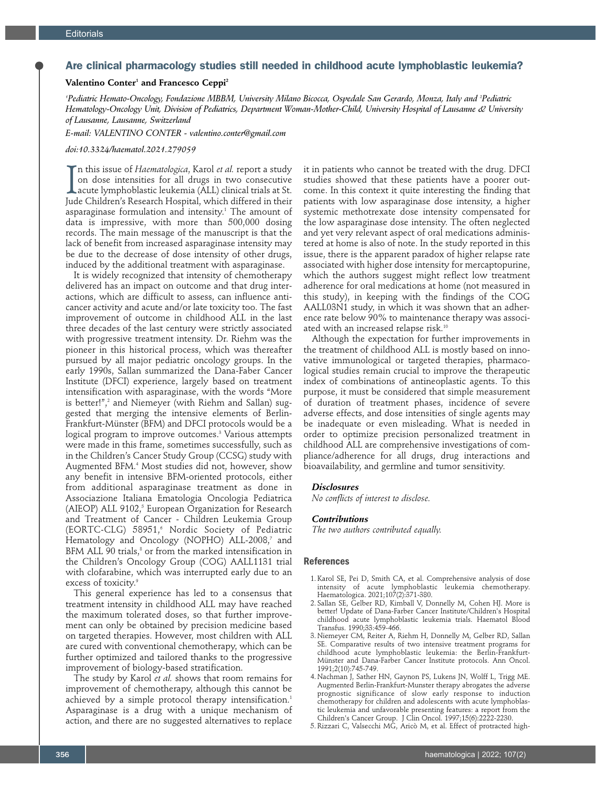# Are clinical pharmacology studies still needed in childhood acute lymphoblastic leukemia?

### **Valentino Conter1 and Francesco Ceppi2**

*1 Pediatric Hemato-Oncology, Fondazione MBBM, University Milano Bicocca, Ospedale San Gerardo, Monza, Italy and 2 Pediatric Hematology-Oncology Unit, Division of Pediatrics, Department Woman-Mother-Child, University Hospital of Lausanne & University of Lausanne, Lausanne, Switzerland* 

*E-mail: VALENTINO CONTER - valentino.conter@gmail.com* 

### *doi:10.3324/haematol.2021.279059*

In this issue of *Haematologica*, Karol *et al.* report a study on dose intensities for all drugs in two consecutive acute lymphoblastic leukemia (ALL) clinical trials at St. Jude Children's Research Hospital, which differ n this issue of *Haematologica*, Karol *et al.* report a study on dose intensities for all drugs in two consecutive acute lymphoblastic leukemia (ALL) clinical trials at St. asparaginase formulation and intensity.1 The amount of data is impressive, with more than 500,000 dosing records. The main message of the manuscript is that the lack of benefit from increased asparaginase intensity may be due to the decrease of dose intensity of other drugs, induced by the additional treatment with asparaginase.

It is widely recognized that intensity of chemotherapy delivered has an impact on outcome and that drug interactions, which are difficult to assess, can influence anticancer activity and acute and/or late toxicity too. The fast improvement of outcome in childhood ALL in the last three decades of the last century were strictly associated with progressive treatment intensity. Dr. Riehm was the pioneer in this historical process, which was thereafter pursued by all major pediatric oncology groups. In the early 1990s, Sallan summarized the Dana-Faber Cancer Institute (DFCI) experience, largely based on treatment intensification with asparaginase, with the words "More is better!",<sup>2</sup> and Niemeyer (with Riehm and Sallan) suggested that merging the intensive elements of Berlin-Frankfurt-Münster (BFM) and DFCI protocols would be a logical program to improve outcomes. $^{\text{\tiny{3}}}$  Various attempts were made in this frame, sometimes successfully, such as in the Children's Cancer Study Group (CCSG) study with Augmented BFM.4 Most studies did not, however, show any benefit in intensive BFM-oriented protocols, either from additional asparaginase treatment as done in Associazione Italiana Ematologia Oncologia Pediatrica (AIEOP) ALL 9102,<sup>5</sup> European Organization for Research and Treatment of Cancer - Children Leukemia Group (EORTC-CLG) 58951,<sup>6</sup> Nordic Society of Pediatric Hematology and Oncology (NOPHO) ALL-2008,<sup>7</sup> and BFM ALL 90 trials, $^{\text{\tiny{8}}}$  or from the marked intensification in the Children's Oncology Group (COG) AALL1131 trial with clofarabine, which was interrupted early due to an excess of toxicity.<sup>9</sup>

This general experience has led to a consensus that treatment intensity in childhood ALL may have reached the maximum tolerated doses, so that further improvement can only be obtained by precision medicine based on targeted therapies. However, most children with ALL are cured with conventional chemotherapy, which can be further optimized and tailored thanks to the progressive improvement of biology-based stratification.

The study by Karol *et al.* shows that room remains for improvement of chemotherapy, although this cannot be achieved by a simple protocol therapy intensification.<sup>1</sup> Asparaginase is a drug with a unique mechanism of action, and there are no suggested alternatives to replace

it in patients who cannot be treated with the drug. DFCI studies showed that these patients have a poorer outcome. In this context it quite interesting the finding that patients with low asparaginase dose intensity, a higher systemic methotrexate dose intensity compensated for the low asparaginase dose intensity. The often neglected and yet very relevant aspect of oral medications administered at home is also of note. In the study reported in this issue, there is the apparent paradox of higher relapse rate associated with higher dose intensity for mercaptopurine, which the authors suggest might reflect low treatment adherence for oral medications at home (not measured in this study), in keeping with the findings of the COG AALL03N1 study, in which it was shown that an adherence rate below 90% to maintenance therapy was associated with an increased relapse risk.10

Although the expectation for further improvements in the treatment of childhood ALL is mostly based on innovative immunological or targeted therapies, pharmacological studies remain crucial to improve the therapeutic index of combinations of antineoplastic agents. To this purpose, it must be considered that simple measurement of duration of treatment phases, incidence of severe adverse effects, and dose intensities of single agents may be inadequate or even misleading. What is needed in order to optimize precision personalized treatment in childhood ALL are comprehensive investigations of compliance/adherence for all drugs, drug interactions and bioavailability, and germline and tumor sensitivity.

## *Disclosures*

*No conflicts of interest to disclose.* 

#### *Contributions*

*The two authors contributed equally.* 

## **References**

- 1. Karol SE, Pei D, Smith CA, et al. Comprehensive analysis of dose intensity of acute lymphoblastic leukemia chemotherapy. Haematologica. 2021;107(2):371-380.
- 2. Sallan SE, Gelber RD, Kimball V, Donnelly M, Cohen HJ. More is better! Update of Dana-Farber Cancer Institute/Children's Hospital childhood acute lymphoblastic leukemia trials. Haematol Blood Transfus. 1990;33:459-466.
- 3. Niemeyer CM, Reiter A, Riehm H, Donnelly M, Gelber RD, Sallan SE. Comparative results of two intensive treatment programs for childhood acute lymphoblastic leukemia: the Berlin-Frankfurt-Münster and Dana-Farber Cancer Institute protocols. Ann Oncol. 1991;2(10):745-749.
- 4. Nachman J, Sather HN, Gaynon PS, Lukens JN, Wolff L, Trigg ME. Augmented Berlin-Frankfurt-Munster therapy abrogates the adverse prognostic significance of slow early response to induction chemotherapy for children and adolescents with acute lymphoblastic leukemia and unfavorable presenting features: a report from the Children's Cancer Group. J Clin Oncol. 1997;15(6):2222-2230.
- 5. Rizzari C, Valsecchi MG, Aricò M, et al. Effect of protracted high-